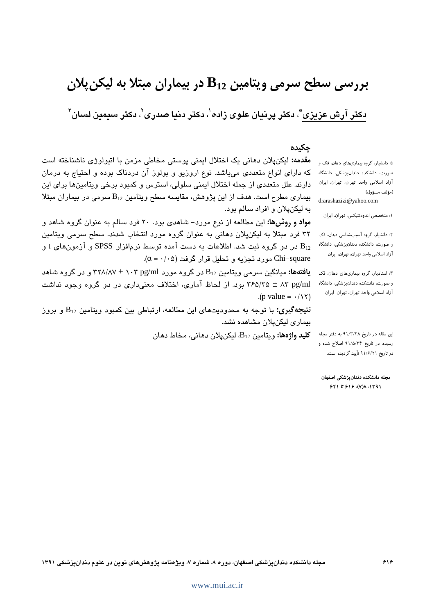# بررسی سطح سرمی ویتامین  ${\bf B}_{12}$  در بیماران مبتلا به لیکن پلان دكتر آرش عزيزي"، دكتر پرنيان علوى زاده'، دكتر دنيا صدرى'، دكتر سيمين لسان"

حكىدە **مقدمه:** لیکنپلان دهانی یک اختلال ایمنی پوستی مخاطی مزمن با اتیولوژی ناشناخته است \* دانشیار، گروه بیماریهای دهان، فک و که دارای انواع متعددی میباشد. نوع اروزیو و بولوز آن دردناک بوده و احتیاج به درمان صورت، دانشکده دندان،زشکی، دانشگاه آزاد اسلامى واحد تهران، تهران، ايران دارند. علل متعددی از جمله اختلال ایمنی سلولی، استرس و کمبود برخی ویتامینها برای این (مؤلف مسؤول) بیماری مطرح است. هدف از این پژوهش، مقایسه سطح ویتامین B12 سرمی در بیماران مبتلا drarashazizi@yahoo.com به ليکنپلان و افراد سالم بود. ۱: متخصص اندودنتیکس، تهران، ایران مواد و روشها: این مطالعه از نوع مورد- شاهدی بود. ۲۰ فرد سالم به عنوان گروه شاهد و ۳۲ فرد مبتلا به لیکنپلان دهانی به عنوان گروه مورد انتخاب شدند. سطح سرمی ویتامین ٢: دانشیار، گروه آسیبشناسی دهان، فک و صورت، دانشکده دندانپزشکی، دانشگاه و آزمونهای t در دو گروه ثبت شد. اطلاعات به دست آمده توسط نرمافزار  $\mathrm{SPSS}$  و آزمونهای t و  $\mathrm{B}_{12}$ آزاد اسلامى واحد تهران، تهران، ايران  $(\alpha = \cdot / \cdot 0)$  مورد تجزیه و تحلیل قرار گرفت (۲۰۵ = ۰/۰۵). **یافتهها:** میانگین سرمی ویتامین B<sub>12</sub> در گروه مورد ۲۰۳ pg/ml + ۲۲۸/۸۷ و در گروه شاهد ۳: استادیار، گروه بیماریهای دهان، فک و صورت، دانشکده دندانپزشکی، دانشگاه ۳۶۵/۳۵ ± ۲۶۵/۳۵ بود. از لحاظ آماری، اختلاف معنیداری در دو گروه وجود نداشت آزاد اسلامی واحد تهران، تهران، ایران  $(p \text{ value} = \cdot / \gamma)$ **نتیجه گیری:** با توجه به محدودیتهای این مطالعه، ارتباطی بین کمبود ویتامین B<sub>12</sub> و بروز بیماری لیکنپلان مشاهده نشد. این مقاله در تاریخ ۹۱/۳/۲۸ به دفتر مجله **كليد واژهها:** ويتامين B<sub>12</sub>، ليكنيلان دهاني، مخاط دهان رسیده، در تاریخ ۹۱/۵/۲۴ اصلاح شده و در تاریخ ۹۱/۶/۲۱ تأیید گردیده است.

> مجله دانشكده دندانيزشكي اصفهان ١٣٩١، ١٧٨، ٢١۶ تا ۶٢١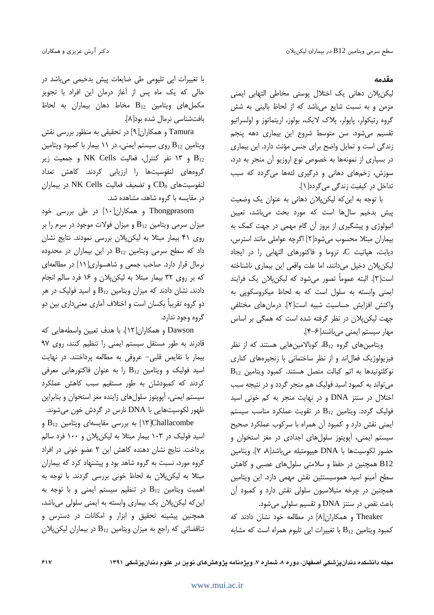#### مقدمه

لیکن پلان دھانی یک اختلال پوستی مخاطی التھابی ایمنی مزمن و به نسبت شایع میباشد که از لحاظ بالینی به شش گروه رتيکولر، پايولر، پلاک لايک، بولوز، اريتماتوز و اولسراتيو تقسیم می شود. سن متوسط شروع این بیماری دهه پنجم زندگی است و تمایل واضح برای جنس مؤنث دارد. این بیماری در بسیاری از نمونهها به خصوص نوع اروزیو آن منجر به درد، سوزش، زخمهای دهانی و درگیری لثهها می گردد که سبب تداخل در کیفیت زندگی می گردد[۱].

با توجه به این که لیکنپلان دهانی به عنوان یک وضعیت ییش بدخیم سالها است که مورد بحث میباشد، تعیین اتیولوژی و پیشگیری از بروز آن گام مهمی در جهت کمک به بیماران مبتلا محسوب می شود[۲] اگرچه عواملی مانند استرس، دیابت، هیاتیت C، تروما و فاکتورهای التهابی را در ایجاد ليكن پلان دخيل مىدانند، اما علت واقعى اين بيمارى ناشناخته است[۳]. البته عموماً تصور می شود که لیکن پلان یک فرایند ایمنی وابسته به سلول است که به لحاظ میکروسکویی به واكنش افزايش حساسيت شبيه است[٢]. درمان هاي مختلفي جهت لیکن پلان در نظر گرفته شده است که همگی بر اساس مهار سيستم ايمني مي باشند[۶-۴].

ویتامینهای گروه B12، کوبالامینهایی هستند که از نظر فیزیولوژیک فعال اند و از نظر ساختمانی با زنجیرههای کناری  $B_{12}$  نوكلئوتيدها به اتم كبالت متصل هستند. كمبود ويتامين می تواند به کمبود اسید فولیک هم منجر گردد و در نتیجه سبب اختلال در سنتز DNA و در نهایت منجر به کم خونی اسید فولیک گردد. ویتامین  $B_{12}$  در تقویت عملکرد مناسب سیستم ایمنی نقش دارد و کمبود آن همراه با سرکوب عملکرد صحیح سیستم ایمنی، آپوپتوز سلولهای اجدادی در مغز استخوان و حضور لكوسيتها با DNA هيپومتيله مي باشد[٨، ٧]. ويتامين B12 همچنین در حفظ و سلامتی سلولهای عصبی و کاهش سطح آمینو اسید هموسیستئین نقش مهمی دارد. این ویتامین همچنین در چرخه متیلاسیون سلولی نقش دارد و کمبود آن باعث نقص در سنتز DNA و تقسیم سلولی می شود.

Theaker و همكاران[٨] در مطالعه خود نشان دادند كه کمبود ویتامین  $B_{12}$  با تغییرات اپی تلیوم همراه است که مشابه

با تغییرات ایی تلیومی طی ضایعات پیش بدخیمی میباشد در حالی که یک ماه پس از آغاز درمان این افراد با تجویز مكمل هاى ويتامين  $B_{12}$  مخاط دهان بيماران به لحاظ بافتشناسی نرمال شده بود[۸].

Tamura و همکاران[۹] در تحقیقی به منظور بررسی نقش ويتامين  $\mathrm{B}_{12}$  روى سيستم ايمنى، در ١١ بيمار با كمبود ويتامين یر NF و ۱۳ نفر کنترل، فعالیت NK Cells و جمعیت زیر B گروههای لنفوسیتها را ارزیابی کردند. کاهش تعداد لنفوسيتهاى  $\text{CD}_8$  و تضعيف فعاليت NK Cells در بيماران در مقایسه با گروه شاهد، مشاهده شد.

Thongprasom و همکاران[۱۰] در طی بررسی خود میزان سرمی ویتامین  $\mathrm{B}_{12}$  و میزان فولات موجود در سرم را بر روی ۴۱ بیمار مبتلا به لیکن پلان بررسی نمودند. نتایج نشان داد که سطح سرمی ویتامین  $B_{12}$  در این بیماران در محدوده نرمال قرار دارد. صاحب جمعی و شاهسواری[۱۱] در مطالعهای که بر روی ۳۲ بیمار مبتلا به لیکن پلان و ۱۶ فرد سالم انجام دادند، نشان دادند که میزان ویتامین  $B_{12}$  و اسید فولیک در هر دو گروه تقریباً یکسان است و اختلاف آماری معنیداری بین دو گروه وجود ندارد.

Dawson و همکاران[۱۲]، با هدف تعیین واسطههایی که قادرند به طور مستقل سیستم ایمنی را تنظیم کنند، روی ۹۷ بیمار با نقایص قلبی- عروقی به مطالعه پرداختند. در نهایت اسید فولیک و ویتامین  $B_{12}$  را به عنوان فاکتورهایی معرفی کردند که کمبودشان به طور مستقیم سبب کاهش عملکرد سيستم ايمني، آپوپتوز سلولهاي زاينده مغز استخوان و بنابراين ظهور لکوسیتهایی با DNA نارس در گردش خون میشوند.

Challacombe[١٣] به بررسی مقایسهای ویتامین B<sub>12</sub> و اسید فولیک در ۱۰۳ بیمار مبتلا به لیکن پلان و ۱۰۰ فرد سالم پرداخت. نتایج نشان دهنده کاهش این ۲ عضو خونی در افراد گروه مورد، نسبت به گروه شاهد بود و پیشنهاد کرد که بیماران مبتلا به لیکن پلان به لحاظ خونی بررسی گردند. با توجه به اهمیت ویتامین  $B_{12}$  در تنظیم سیستم ایمنی و با توجه به این که لیکنپلان یک بیماری وابسته به ایمنی سلولی میباشد، همچنین پیشینه تحقیق و ابزار و امکانات در دسترس و تناقضاتی که راجع به میزان ویتامین  $B_{12}$  در بیماران لیکن پلان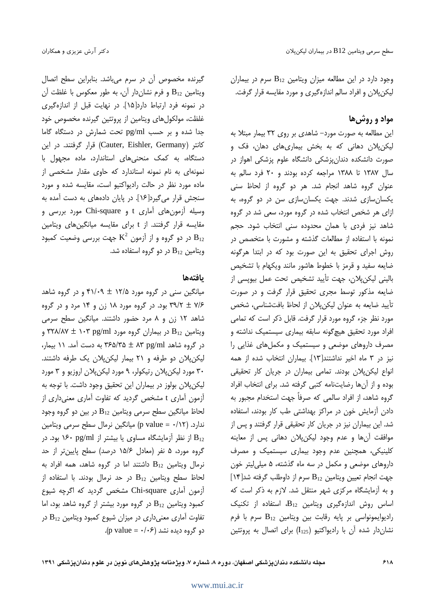وجود دارد در این مطالعه میزان ویتامین  $B_{12}$  سرم در بیماران لیکن پلان و افراد سالم اندازهگیری و مورد مقایسه قرار گرفت.

## مواد و روش ها

این مطالعه به صورت مورد- شاهدی بر روی ۳۲ بیمار مبتلا به ليکن پلان دهاني که به بخش بيماريهاي دهان، فک و صورت دانشکده دندان پزشکی دانشگاه علوم پزشکی اهواز در سال ۱۳۸۷ تا ۱۳۸۸ مراجعه کرده بودند و ۲۰ فرد سالم به عنوان گروه شاهد انجام شد. هر دو گروه از لحاظ سنی یکسان سازی شدند. جهت یکسان سازی سن در دو گروه، به ازای هر شخص انتخاب شده در گروه مورد، سعی شد در گروه شاهد نیز فردی با همان محدوده سنی انتخاب شود. حجم نمونه با استفاده از مطالعات گذشته و مشورت با متخصص در روش اجرای تحقیق به این صورت بود که در ابتدا هرگونه ضايعه سفيد و قرمز با خطوط هاشور مانند ويكهام با تشخيص باليني ليكن بلان، جهت تأييد تشخيص تحت عمل بيويسي از ضایعه مذکور توسط مجری تحقیق قرار گرفت و در صورت تأييد ضايعه به عنوان ليكن يلان از لحاظ بافتشناسي، شخص مورد نظر جزء گروه مورد قرار گرفت. قابل ذکر است که تمامی افراد مورد تحقیق هیچ گونه سابقه بیماری سیستمیک نداشته و مصرف داروهای موضعی و سیستمیک و مکملهای غذایی را نيز در ٣ ماه اخير نداشتند[١٣]. بيماران انتخاب شده از همه انواع لیکن پلان بودند. تمامی بیماران در جریان کار تحقیقی بوده و از آنها رضایتنامه کتبی گرفته شد. برای انتخاب افراد گروه شاهد، از افراد سالمی که صرفاً جهت استخدام مجبور به دادن آزمایش خون در مراکز بهداشتی طب کار بودند، استفاده شد. این بیماران نیز در جریان کار تحقیقی قرار گرفتند و پس از موافقت آنها و عدم وجود ليكن پلان دهاني پس از معاينه کلینیکی، همچنین عدم وجود بیماری سیستمیک و مصرف داروهای موضعی و مکمل در سه ماه گذشته، ۵ میلی لیتر خون 44 جهت انجام تعيين ويتامين  $B_{12}$  سرم از داوطلب گرفته شد و به آزمایشگاه مرکزی شهر منتقل شد. لازم به ذکر است که اساس روش اندازهگیری ویتامین B12، استفاده از تکنیک رادیوایمونواسی بر پایه رقابت بین ویتامین  $B_{12}$  سرم با فرم نشان دار شده آن با رادیواکتیو (I<sub>125</sub>) برای اتصال به پروتئین

گیرنده مخصوص آن در سرم می باشد. بنابراین سطح اتصال ويتامين  $B_{12}$  و فرم نشان دار آن، به طور معكوس با غلظت آن در نمونه فرد ارتباط دارد[۱۵]. در نهایت قبل از اندازهگیری غلظت، مولكول هاى ويتامين از پروتئين گيرنده مخصوص خود جدا شده و بر حسب pg/ml تحت شمارش در دستگاه گاما كانتر (Cauter, Eishler, Germany) قرار گرفتند. در اين دستگاه، به کمک منحنیهای استاندارد، ماده مجهول با نمونهای به نام نمونه استاندارد که حاوی مقدار مشخصی از ماده مورد نظر در حالت رادیواکتیو است، مقایسه شده و مورد سنجش قرار می گیرد[۱۶]. در پایان دادههای به دست آمده به وسیله آزمونهای آماری t و Chi-square مورد بررسی و مقایسه قرار گرفتند. از t برای مقایسه میانگینهای ویتامین در دو گروه و از آزمون  $\rm K^2$  جهت بررسی وضعیت کمبود  $\rm B_{12}$ ویتامین  $\mathrm{B}_{12}$  در دو گروه استفاده شد.

#### بافتهها

میانگین سنی در گروه مورد ۱۲/۵ ± ۴۱/۰۹ و در گروه شاهد ۷/۶ ـ ۳۹/۲ بود. در گروه مورد ۱۸ زن و ۱۴ مرد و در گروه شاهد ١٢ زن و ٨ مرد حضور داشتند. میانگین سطح سرمی ویتامین B<sub>12</sub> در بیماران گروه مورد ۲۰۳ pg/ml ویتامین B<sub>12</sub> و  $\sim$ در گروه شاهد ۳۶۵/۳۵ ± ۸۳ pg/ml به دست آمد. ۱۱ بیمار، لیکن پلان دو طرفه و ٢١ بیمار لیکن پلان یک طرفه داشتند. ۳۰ مورد لیکن پلان رتیکولر، ۹ مورد لیکن پلان اروزیو و ۳ مورد لیکنپلان بولوز در بیماران این تحقیق وجود داشت. با توجه به آزمون آماری t مشخص گردید که تفاوت آماری معنیداری از لحاظ میانگین سطح سرمی ویتامین  $B_{12}$  در بین دو گروه وجود ندارد. (p value = ٠/١٢) ميانگين نرمال سطح سرمي ويتامين از نظر آزمایشگاه مساوی یا بیشتر از pg/ml ۱۶۰ بود. در B<sub>12</sub> گروه مورد، ۵ نفر (معادل ۱۵/۶ درصد) سطح پایین تر از حد  $B_{12}$  نرمال ویتامین  $B_{12}$  داشتند اما در گروه شاهد، همه افراد به لحاظ سطح ويتامين  $B_{12}$  در حد نرمال بودند. با استفاده از آزمون آماری Chi-square مشخص گردید که اگرچه شیوع کمبود ویتامین  $B_{12}$  در گروه مورد بیشتر از گروه شاهد بود، اما تفاوت آماری معنی داری در میزان شیوع کمبود ویتامین  $B_{12}$  در  $(p \text{ value} = \cdot / \cdot)$ دو گروه دیده نشد (p value = ۰/۰۶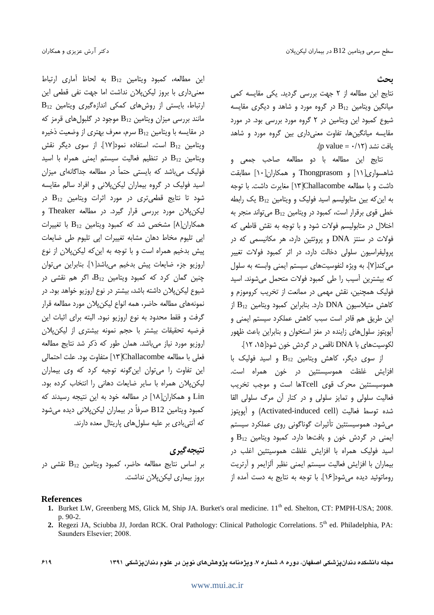ىحث

نتايج اين مطالعه از ٢ جهت بررسي گرديد. يكي مقايسه كمي میانگین ویتامین  $B_{12}$  در گروه مورد و شاهد و دیگری مقایسه شیوع کمبود این ویتامین در ۲ گروه مورد بررسی بود. در مورد مقايسه ميانگينها، تفاوت معنىداري بين گروه مورد و شاهد . يافت نشد (p value =  $\cdot$  / ۱۲)

نتايج اين مطالعه با دو مطالعه صاحب جمعي و شاهسواری[۱۱] و Thongprasom و همکاران[۱۰] مطابقت داشت و با مطالعه Challacombe) [1۳] مغایرت داشت. با توجه به این که بین متابولیسم اسید فولیک و ویتامین  $B_{12}$  یک رابطه خطی قوی برقرار است، کمبود در ویتامین  $B_{12}$  می تواند منجر به اختلال در متابولیسم فولات شود و با توجه به نقش قاطعی که فولات در سنتز DNA و پروتئین دارد، هر مکانیسمی که در یرولیفراسیون سلولی دخالت دارد، در اثر کمبود فولات تغییر می کند[۷]. به ویژه لنفوسیتهای سیستم ایمنی وابسته به سلول كه بيشترين آسيب را طي كمبود فولات متحمل ميشوند. اسيد فوليک همچنين، نقش مهمي در ممانعت از تخريب کروموزم و كاهش متيلاسيون DNA دارد. بنابراين كمبود ويتامين B<sub>12</sub> از این طریق هم قادر است سبب کاهش عملکرد سیستم ایمنی و آپوپتوز سلول های زاینده در مغز استخوان و بنابراین باعث ظهور لکوسیتهای با DNA ناقص در گردش خون شود[۱۲، ۱۲].

از سوی دیگر، کاهش ویتامین  $B_{12}$  و اسید فولیک با افزایش غلظت هموسیستئین در خون همراه است. هموسیستئین محرک قوی Tcellها است و موجب تخریب فعالیت سلولی و تمایز سلولی و در کنار آن مرگ سلولی القا شده توسط فعاليت (Activated-induced cell) و آيويتوز می شود. هموسیستئین تأثیرات گوناگونی روی عملکرد سیستم ایمنی در گردش خون و بافتها دارد. کمبود ویتامین  $B_{12}$  و اسید فولیک همراه با افزایش غلظت هموسیتئین اغلب در بيماران با افزايش فعاليت سيستم ايمنى نظير ألزايمر و آرتريت روماتوئيد ديده مي شود[۱۶]. با توجه به نتايج به دست آمده از

اين مطالعه، كمبود ويتامين  $B_{12}$  به لحاظ آمارى ارتباط معنیداری با بروز لیکن پلان نداشت اما جهت نفی قطعی این  $B_{12}$  ارتباط، بایستی از روشهای کمکی اندازهگیری ویتامین مانند بررسی میزان ویتامین  $B_{12}$  موجود در گلبول های قرمز که در مقایسه با ویتامین  $B_{12}$  سرم، معرف بهتری از وضعیت ذخیره ويتامين  $B_{12}$  است، استفاده نمود[١٧]. از سوى ديگر نقش ويتامين  $B_{12}$  در تنظيم فعاليت سيستم ايمنى همراه با اسيد فولیک می باشد که بایستی حتماً در مطالعه جداگانهای میزان اسید فولیک در گروه بیماران لیکنپلانی و افراد سالم مقایسه شود تا نتایج قطعیتری در مورد اثرات ویتامین  $B_{12}$  در لیکن پلان مورد بررسی قرار گیرد. در مطالعه Theaker و همکاران[۸] مشخص شد که کمبود ویتامین  $B_{12}$  با تغییرات اپی تلیوم مخاط دهان مشابه تغییرات اپی تلیوم طی ضایعات پیش بدخیم همراه است و با توجه به این که لیکن پلان از نوع اروزيو جزء ضايعات پيش بدخيم ميباشد[١]. بنابراين مي توان چنین گمان کرد که کمبود ویتامین  $B_{12}$ ، اگر هم نقشی در شیوع لیکن پلان داشته باشد، بیشتر در نوع اروزیو خواهد بود. در نمونههای مطالعه حاضر، همه انواع لیکنپلان مورد مطالعه قرار گرفت و فقط محدود به نوع اروزیو نبود. البته برای اثبات این فرضيه تحقيقات بيشتر با حجم نمونه بيشترى از ليكن پلان اروزیو مورد نیاز میباشد. همان طور که ذکر شد نتایج مطالعه فعلي با مطالعه Challacombe(١٣)آ متفاوت بود. علت احتمالي این تفاوت را میتوان این گونه توجیه کرد که وی بیماران لیکن پلان همراه با سایر ضایعات دهانی را انتخاب کرده بود. Lin و همکاران[۱۸] در مطالعه خود به این نتیجه رسیدند که كمبود ويتامين B12 صرفاً در بيماران ليكن&لني ديده ميشود که آنتی بادی بر علیه سلولهای پاریتال معده دارند.

#### نتيجه گيري

بر اساس نتايج مطالعه حاضر، كمبود ويتامين  $B_{12}$  نقشى در بروز بیماری لیکن پلان نداشت.

#### **References**

- 1. Burket LW, Greenberg MS, Glick M, Ship JA. Burket's oral medicine. 11<sup>th</sup> ed. Shelton, CT: PMPH-USA; 2008. p. 90-2.
- 2. Regezi JA, Sciubba JJ, Jordan RCK, Oral Pathology: Clinical Pathologic Correlations, 5<sup>th</sup> ed. Philadelphia, PA: Saunders Elsevier; 2008.

مجله دانشکده دندان پزشکی اصفهان، دوره ۸، شماره ۷، ویژهنامه پژوهشهای نوین در علوم دندان پزشکی ۱۳۹۱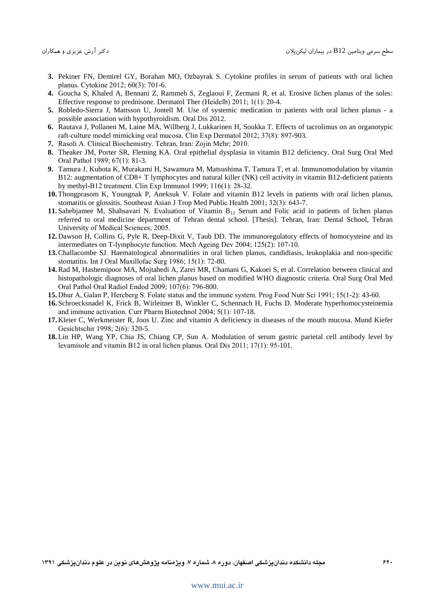- **3.** Pekiner FN, Demirel GY, Borahan MO, Ozbayrak S. Cytokine profiles in serum of patients with oral lichen planus. Cytokine 2012; 60(3): 701-6.
- **4.** Goucha S, Khaled A, Bennani Z, Rammeh S, Zeglaoui F, Zermani R, et al. Erosive lichen planus of the soles: Effective response to prednisone. Dermatol Ther (Heidelb) 2011; 1(1): 20-4.
- **5.** Robledo-Sierra J, Mattsson U, Jontell M. Use of systemic medication in patients with oral lichen planus a possible association with hypothyroidism. Oral Dis 2012.
- **6.** Rautava J, Pollanen M, Laine MA, Willberg J, Lukkarinen H, Soukka T. Effects of tacrolimus on an organotypic raft-culture model mimicking oral mucosa. Clin Exp Dermatol 2012; 37(8): 897-903.
- **7.** Rasoli A. Clinical Biochemistry. Tehran, Iran: Zojin Mehr; 2010.
- **8.** Theaker JM, Porter SR, Fleming KA. Oral epithelial dysplasia in vitamin B12 deficiency. Oral Surg Oral Med Oral Pathol 1989; 67(1): 81-3.
- **9.** Tamura J, Kubota K, Murakami H, Sawamura M, Matsushima T, Tamura T, et al. Immunomodulation by vitamin B12: augmentation of CD8+ T lymphocytes and natural killer (NK) cell activity in vitamin B12-deficient patients by methyl-B12 treatment. Clin Exp Immunol 1999; 116(1): 28-32.
- **10.** Thongprasom K, Youngnak P, Aneksuk V. Folate and vitamin B12 levels in patients with oral lichen planus, stomatitis or glossitis. Southeast Asian J Trop Med Public Health 2001; 32(3): 643-7.
- 11. Sahebjamee M, Shahsavari N. Evaluation of Vitamin  $B_{12}$  Serum and Folic acid in patients of lichen planus referred to oral medicine department of Tehran dental school. [Thesis]. Tehran, Iran: Dental School, Tehran University of Medical Sciences; 2005.
- **12.** Dawson H, Collins G, Pyle R, Deep-Dixit V, Taub DD. The immunoregulatory effects of homocysteine and its intermediates on T-lymphocyte function. Mech Ageing Dev 2004; 125(2): 107-10.
- **13.**Challacombe SJ. Haematological abnormalities in oral lichen planus, candidiasis, leukoplakia and non-specific stomatitis. Int J Oral Maxillofac Surg 1986; 15(1): 72-80.
- **14.**Rad M, Hashemipoor MA, Mojtahedi A, Zarei MR, Chamani G, Kakoei S, et al. Correlation between clinical and histopathologic diagnoses of oral lichen planus based on modified WHO diagnostic criteria. Oral Surg Oral Med Oral Pathol Oral Radiol Endod 2009; 107(6): 796-800.
- **15.** Dhur A, Galan P, Hercberg S. Folate status and the immune system. Prog Food Nutr Sci 1991; 15(1-2): 43-60.
- **16.** Schroecksnadel K, Frick B, Wirleitner B, Winkler C, Schennach H, Fuchs D. Moderate hyperhomocysteinemia and immune activation. Curr Pharm Biotechnol 2004; 5(1): 107-18.
- **17.** Kleier C, Werkmeister R, Joos U. Zinc and vitamin A deficiency in diseases of the mouth mucosa. Mund Kiefer Gesichtschir 1998; 2(6): 320-5.
- **18.** Lin HP, Wang YP, Chia JS, Chiang CP, Sun A. Modulation of serum gastric parietal cell antibody level by levamisole and vitamin B12 in oral lichen planus. Oral Dis 2011; 17(1): 95-101.